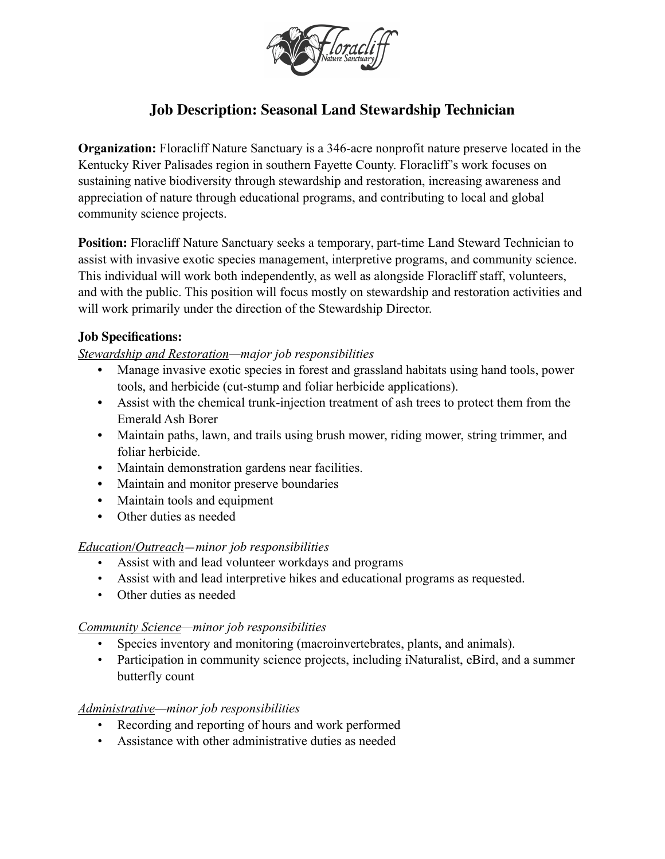

# **Job Description: Seasonal Land Stewardship Technician**

**Organization:** Floracliff Nature Sanctuary is a 346-acre nonprofit nature preserve located in the Kentucky River Palisades region in southern Fayette County. Floracliff's work focuses on sustaining native biodiversity through stewardship and restoration, increasing awareness and appreciation of nature through educational programs, and contributing to local and global community science projects.

**Position:** Floracliff Nature Sanctuary seeks a temporary, part-time Land Steward Technician to assist with invasive exotic species management, interpretive programs, and community science. This individual will work both independently, as well as alongside Floracliff staff, volunteers, and with the public. This position will focus mostly on stewardship and restoration activities and will work primarily under the direction of the Stewardship Director.

## **Job Specifications:**

### *Stewardship and Restoration—major job responsibilities*

- **•** Manage invasive exotic species in forest and grassland habitats using hand tools, power tools, and herbicide (cut-stump and foliar herbicide applications).
- **•** Assist with the chemical trunk-injection treatment of ash trees to protect them from the Emerald Ash Borer
- **•** Maintain paths, lawn, and trails using brush mower, riding mower, string trimmer, and foliar herbicide.
- **•** Maintain demonstration gardens near facilities.
- **•** Maintain and monitor preserve boundaries
- **•** Maintain tools and equipment
- **•** Other duties as needed

### *Education/Outreach—minor job responsibilities*

- Assist with and lead volunteer workdays and programs
- Assist with and lead interpretive hikes and educational programs as requested.
- Other duties as needed

### *Community Science—minor job responsibilities*

- Species inventory and monitoring (macroinvertebrates, plants, and animals).
- Participation in community science projects, including iNaturalist, eBird, and a summer butterfly count

### *Administrative—minor job responsibilities*

- Recording and reporting of hours and work performed
- Assistance with other administrative duties as needed